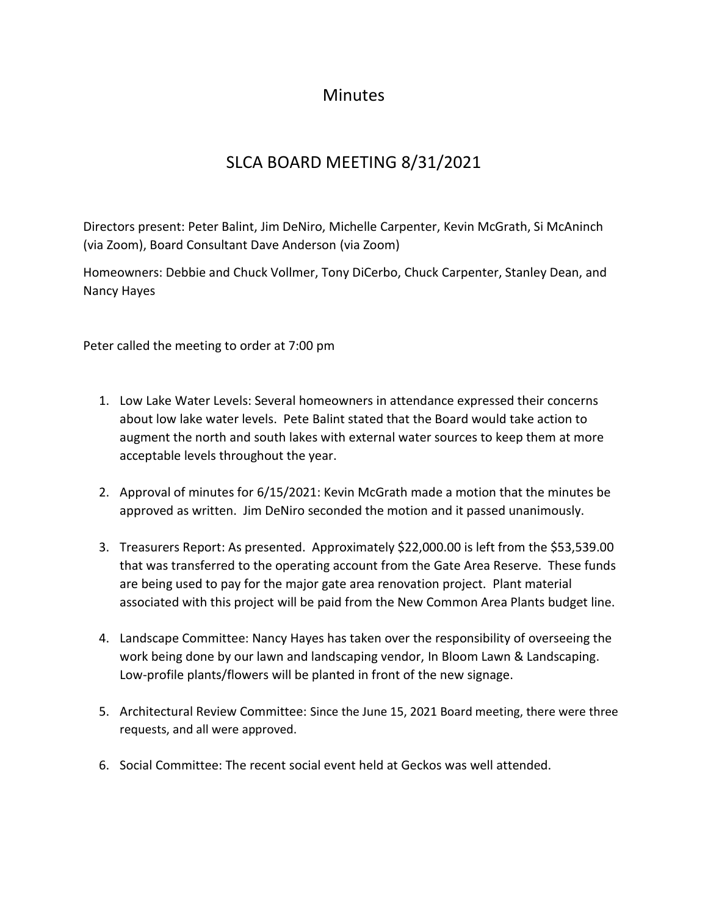## **Minutes**

## SLCA BOARD MEETING 8/31/2021

Directors present: Peter Balint, Jim DeNiro, Michelle Carpenter, Kevin McGrath, Si McAninch (via Zoom), Board Consultant Dave Anderson (via Zoom)

Homeowners: Debbie and Chuck Vollmer, Tony DiCerbo, Chuck Carpenter, Stanley Dean, and Nancy Hayes

Peter called the meeting to order at 7:00 pm

- 1. Low Lake Water Levels: Several homeowners in attendance expressed their concerns about low lake water levels. Pete Balint stated that the Board would take action to augment the north and south lakes with external water sources to keep them at more acceptable levels throughout the year.
- 2. Approval of minutes for 6/15/2021: Kevin McGrath made a motion that the minutes be approved as written. Jim DeNiro seconded the motion and it passed unanimously.
- 3. Treasurers Report: As presented. Approximately \$22,000.00 is left from the \$53,539.00 that was transferred to the operating account from the Gate Area Reserve. These funds are being used to pay for the major gate area renovation project. Plant material associated with this project will be paid from the New Common Area Plants budget line.
- 4. Landscape Committee: Nancy Hayes has taken over the responsibility of overseeing the work being done by our lawn and landscaping vendor, In Bloom Lawn & Landscaping. Low-profile plants/flowers will be planted in front of the new signage.
- 5. Architectural Review Committee: Since the June 15, 2021 Board meeting, there were three requests, and all were approved.
- 6. Social Committee: The recent social event held at Geckos was well attended.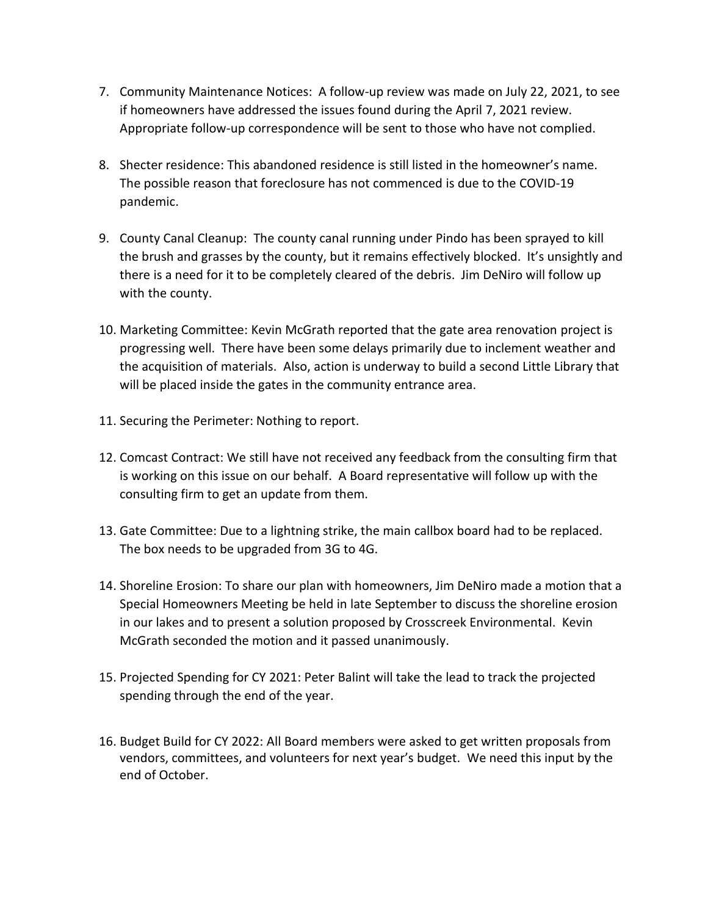- 7. Community Maintenance Notices: A follow-up review was made on July 22, 2021, to see if homeowners have addressed the issues found during the April 7, 2021 review. Appropriate follow-up correspondence will be sent to those who have not complied.
- 8. Shecter residence: This abandoned residence is still listed in the homeowner's name. The possible reason that foreclosure has not commenced is due to the COVID-19 pandemic.
- 9. County Canal Cleanup: The county canal running under Pindo has been sprayed to kill the brush and grasses by the county, but it remains effectively blocked. It's unsightly and there is a need for it to be completely cleared of the debris. Jim DeNiro will follow up with the county.
- 10. Marketing Committee: Kevin McGrath reported that the gate area renovation project is progressing well. There have been some delays primarily due to inclement weather and the acquisition of materials. Also, action is underway to build a second Little Library that will be placed inside the gates in the community entrance area.
- 11. Securing the Perimeter: Nothing to report.
- 12. Comcast Contract: We still have not received any feedback from the consulting firm that is working on this issue on our behalf. A Board representative will follow up with the consulting firm to get an update from them.
- 13. Gate Committee: Due to a lightning strike, the main callbox board had to be replaced. The box needs to be upgraded from 3G to 4G.
- 14. Shoreline Erosion: To share our plan with homeowners, Jim DeNiro made a motion that a Special Homeowners Meeting be held in late September to discuss the shoreline erosion in our lakes and to present a solution proposed by Crosscreek Environmental. Kevin McGrath seconded the motion and it passed unanimously.
- 15. Projected Spending for CY 2021: Peter Balint will take the lead to track the projected spending through the end of the year.
- 16. Budget Build for CY 2022: All Board members were asked to get written proposals from vendors, committees, and volunteers for next year's budget. We need this input by the end of October.